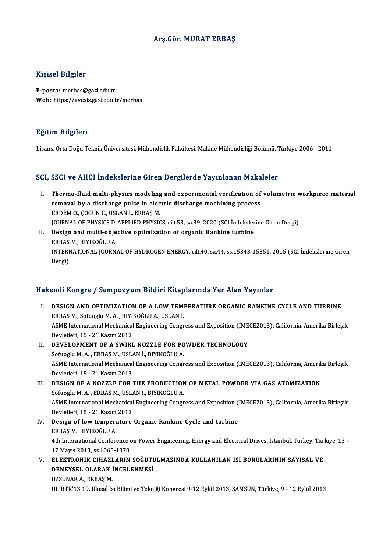## Arş.Gör.MURAT ERBAŞ

## Kişisel Bilgiler

E-posta:merbas@gazi.edu.tr Web: https://avesis.gazi.edu.tr/merbas

## Eğitim Bilgileri

Lisans, Orta Doğu Teknik Üniversitesi, Mühendislik Fakültesi, Makine Mühendisliği Bölümü, Türkiye 2006 - 2011

# SCI, SSCI ve AHCI İndekslerine Giren Dergilerde Yayınlanan Makaleler

- I. Thermo-fluid multi-physics modeling and experimental verification of volumetric workpiece material Thermo-fluid multi-physics modeling and experimental verification of<br>removal by a discharge pulse in electric discharge machining process<br>EPDEM O. COČUN C. USLAN L. EPPAS M Thermo-fluid multi-physics modeling<br>removal by a discharge pulse in elec<br>ERDEM 0., ÇOĞUN C., USLAN İ., ERBAŞ M.<br>JOUPMAL OF PHYSICS D APPLIED PHYSIC ERDEM O., ÇOĞUN C., USLAN İ., ERBAŞ M.<br>JOURNAL OF PHYSICS D-APPLIED PHYSICS, cilt.53, sa.39, 2020 (SCI İndekslerine Giren Dergi) ERDEM 0., ÇOĞUN C., USLAN İ., ERBAŞ M.<br>JOURNAL OF PHYSICS D-APPLIED PHYSICS, cilt.53, sa.39, 2020 (SCI İndeksler<br>II. Design and multi-objective optimization of organic Rankine turbine<br>FRAS M. RIVIZOČLU A
- JOURNAL OF PHYSICS D-<br>Design and multi-obje<br>ERBAŞ M., BIYIKOĞLU A.<br>INTERNATIONAL JOURN Design and multi-objective optimization of organic Rankine turbine<br>ERBAŞ M., BIYIKOĞLU A.<br>INTERNATIONAL JOURNAL OF HYDROGEN ENERGY, cilt.40, sa.44, ss.15343-15351, 2015 (SCI İndekslerine Giren<br>Dergi) ERBAŞ<br>INTERI<br>Dergi)

# Dergi)<br>Hakemli Kongre / Sempozyum Bildiri Kitaplarında Yer Alan Yayınlar

- akemli Kongre / Sempozyum Bildiri Kitaplarında Yer Alan Yayınlar<br>I. DESIGN AND OPTIMIZATION OF A LOW TEMPERATURE ORGANIC RANKINE CYCLE AND TURBINE<br>EPPAS M. Sofyegly M.A., PIYIKOČLILA, IISLAN İ ERBAŞ M., SofuogluM.<br>ERBAŞ M., Sofuoglu M.A., BIYIKOĞLU A., USLAN İ.<br>ASME International Mechanical Engineering Congre DESIGN AND OPTIMIZATION OF A LOW TEMPERATURE ORGANIC RANKINE CYCLE AND TURBINE<br>ERBAŞ M., Sofuoglu M. A. , BIYIKOĞLU A., USLAN İ.<br>ASME International Mechanical Engineering Congress and Exposition (IMECE2013), California, Am ERBAŞ M., Sofuoglu M. A. , BIYI!<br>ASME International Mechanical<br>Devletleri, 15 - 21 Kasım 2013<br>DEVELOPMENT OF A SWIPI ASME International Mechanical Engineering Congress and Exposition (IME<br>Devletleri, 15 - 21 Kasım 2013<br>II. DEVELOPMENT OF A SWIRL NOZZLE FOR POWDER TECHNOLOGY<br>Sefuecul M.A. ERRAS M. USLAN İ. RIVIKOĞLU A
- Devletleri, 15 21 Kasım 2013<br>DEVELOPMENT OF A SWIRL NOZZLE FOR PO<br>Sofuoglu M. A. , ERBAŞ M., USLAN İ., BIYIKOĞLU A.<br>ASME International Mechanical Engineering Congr II. DEVELOPMENT OF A SWIRL NOZZLE FOR POWDER TECHNOLOGY<br>Sofuoglu M. A. , ERBAŞ M., USLAN İ., BIYIKOĞLU A.<br>ASME International Mechanical Engineering Congress and Exposition (IMECE2013), California, Amerika Birleşik<br>Devletle Sofuoglu M. A. , ERBAŞ M., USL/<br>ASME International Mechanical<br>Devletleri, 15 - 21 Kasım 2013<br>DESICN OF A NOZZLE FOR : ASME International Mechanical Engineering Congress and Exposition (IMECE2013), California, Amerik<br>Devletleri, 15 - 21 Kasım 2013<br>III. DESIGN OF A NOZZLE FOR THE PRODUCTION OF METAL POWDER VIA GAS ATOMIZATION Devletleri, 15 - 21 Kasım 2013<br>DESIGN OF A NOZZLE FOR THE PRODUCTION<br>Sofuoglu M. A. , ERBAŞ M., USLAN İ., BIYIKOĞLU A.<br>ASME International Mechanical Engineering Congr ASME International Mechanical Engineering Congress and Exposition (IMECE2013), California, Amerika Birleşik<br>Devletleri, 15 - 21 Kasım 2013 Sofuoglu M. A., ERBAȘ M., USLAN İ., BIYIKOĞLU A. ASME International Mechanical Engineering Congress and Exposition (<br>Devletleri, 15 - 21 Kasım 2013<br>IV. Design of low temperature Organic Rankine Cycle and turbine<br>FRAS M. RIVICOČI II A Devletleri, 15 - 21 Kasım<br>Design of low tempera<br>ERBAŞ M., BIYIKOĞLU A.<br>4th International Conform Design of low temperature Organic Rankine Cycle and turbine<br>ERBAŞ M., BIYIKOĞLU A.<br>4th International Conference on Power Engineering, Energy and Electrical Drives, Istanbul, Turkey, Türkiye, 13<br>17 Mayıs 2012, ss.1065, 1070 ERBAŞ M., BIYIKOĞLU A.<br>4th International Conference of<br>17 Mayıs 2013, ss.1065-1070<br>ELEKTRONİK CİHAZLARIN 4th International Conference on Power Engineering, Energy and Electrical Drives, Istanbul, Turkey, Tür.<br>17 Mayıs 2013, ss.1065-1070<br>V. ELEKTRONİK CİHAZLARIN SOĞUTULMASINDA KULLANILAN ISI BORULARININ SAYISAL VE<br>DENEVSEL OLA
- 17 Mayıs 2013, ss.1065-1070<br>ELEKTRONİK CİHAZLARIN SOĞUTU<br>DENEYSEL OLARAK İNCELENMESİ<br>ÖZSUNAR ALEPRASM ELEKTRONİK CİHAZI<br>DENEYSEL OLARAK İ<br>ÖZSUNAR A., ERBAŞ M.<br>III IPTK'12 10 Husal İs DENEYSEL OLARAK İNCELENMESİ<br>ÖZSUNAR A., ERBAŞ M.<br>ULIBTK'13 19. Ulusal Isı Bilimi ve Tekniği Kongresi 9-12 Eylül 2013, SAMSUN, Türkiye, 9 - 12 Eylül 2013